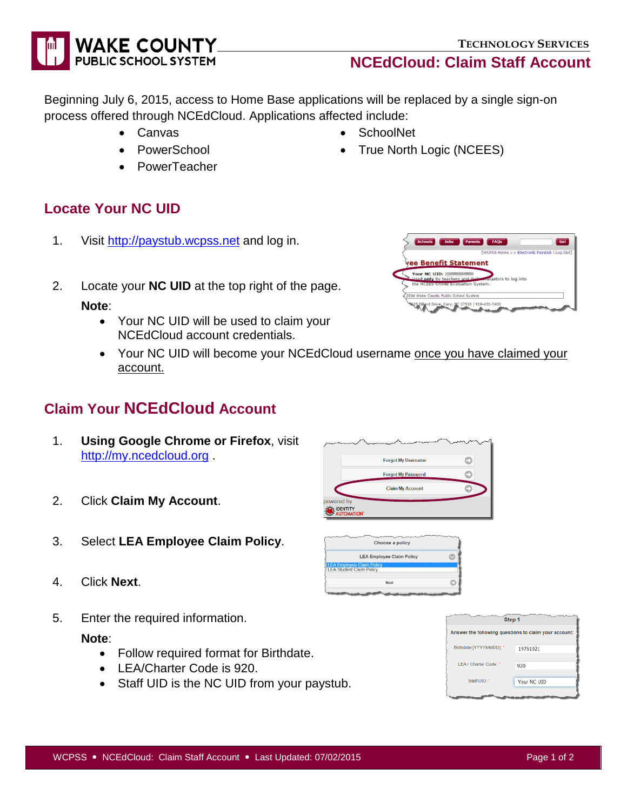# **TECHNOLOGY SERVICES**

**NCEdCloud: Claim Staff Account**

Beginning July 6, 2015, access to Home Base applications will be replaced by a single sign-on process offered through NCEdCloud. Applications affected include:

- Canvas
- PowerSchool
- PowerTeacher

## **Locate Your NC UID**

- 1. Visit [http://paystub.wcpss.net](http://paystub.wcpss.net/) and log in.
- 2. Locate your **NC UID** at the top right of the page.

#### **Note**:

- Your NC UID will be used to claim your NCEdCloud account credentials.
- Your NC UID will become your NCEdCloud username once you have claimed your account.

LEA Employee Claim Policy<br>LEA Student Claim Policy

# **Claim Your NCEdCloud Account**

- 1. **Using Google Chrome or Firefox**, visit [http://my.ncedcloud.org](http://my.ncedcloud.org/) .
- 2. Click **Claim My Account**.
- 3. Select **LEA Employee Claim Policy**.
- 4. Click **Next**.
- 5. Enter the required information.

#### **Note**:

- Follow required format for Birthdate.
- LEA/Charter Code is 920.
- Staff UID is the NC UID from your paystub.



|              | [WCPSS Home >> Electronic Paystub   Log Out]          |
|--------------|-------------------------------------------------------|
|              | vee Benefit Statement                                 |
| Your NC UID: |                                                       |
|              | Hised only by teachers and the evaluators to log into |
|              | the NCEES Online Evaluation System.                   |
|              | 2004 Wake County Public School System                 |



• SchoolNet

• True North Logic (NCEES)



Next

Ò